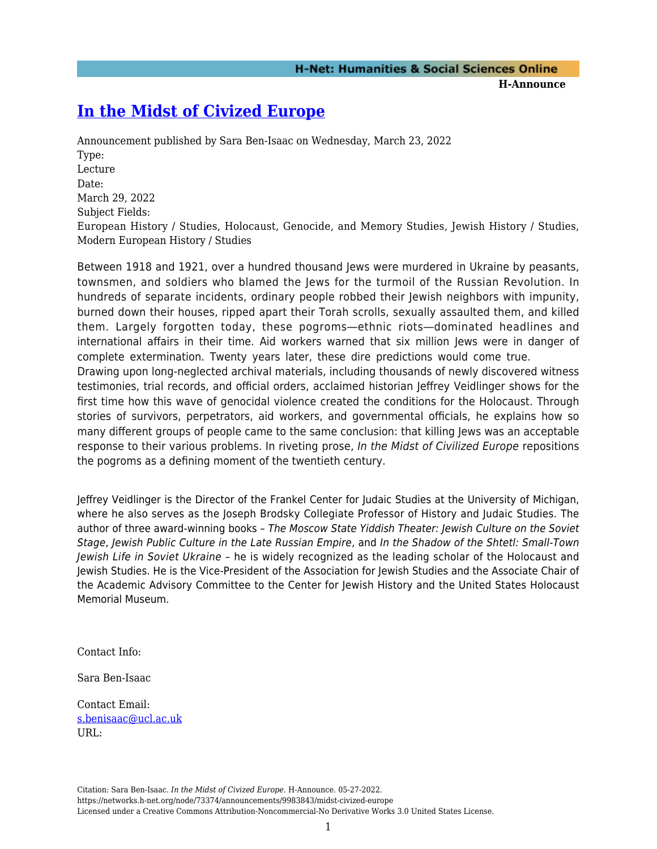## **[In the Midst of Civized Europe](https://networks.h-net.org/node/73374/announcements/9983843/midst-civized-europe)**

the pogroms as a defining moment of the twentieth century.

Announcement published by Sara Ben-Isaac on Wednesday, March 23, 2022 Type: Lecture Date: March 29, 2022 Subject Fields: European History / Studies, Holocaust, Genocide, and Memory Studies, Jewish History / Studies, Modern European History / Studies

Between 1918 and 1921, over a hundred thousand Jews were murdered in Ukraine by peasants, townsmen, and soldiers who blamed the Jews for the turmoil of the Russian Revolution. In hundreds of separate incidents, ordinary people robbed their Jewish neighbors with impunity, burned down their houses, ripped apart their Torah scrolls, sexually assaulted them, and killed them. Largely forgotten today, these pogroms―ethnic riots―dominated headlines and international affairs in their time. Aid workers warned that six million Jews were in danger of complete extermination. Twenty years later, these dire predictions would come true. Drawing upon long-neglected archival materials, including thousands of newly discovered witness testimonies, trial records, and official orders, acclaimed historian Jeffrey Veidlinger shows for the first time how this wave of genocidal violence created the conditions for the Holocaust. Through stories of survivors, perpetrators, aid workers, and governmental officials, he explains how so many different groups of people came to the same conclusion: that killing Jews was an acceptable response to their various problems. In riveting prose, In the Midst of Civilized Europe repositions

Jeffrey Veidlinger is the Director of the Frankel Center for Judaic Studies at the University of Michigan, where he also serves as the Joseph Brodsky Collegiate Professor of History and Judaic Studies. The author of three award-winning books – The Moscow State Yiddish Theater: Jewish Culture on the Soviet Stage, Jewish Public Culture in the Late Russian Empire, and In the Shadow of the Shtetl: Small-Town Jewish Life in Soviet Ukraine – he is widely recognized as the leading scholar of the Holocaust and Jewish Studies. He is the Vice-President of the Association for Jewish Studies and the Associate Chair of the Academic Advisory Committee to the Center for Jewish History and the United States Holocaust Memorial Museum.

Contact Info:

Sara Ben-Isaac

Contact Email: [s.benisaac@ucl.ac.uk](mailto:s.benisaac@ucl.ac.uk) URL:

Citation: Sara Ben-Isaac. *In the Midst of Civized Europe*. H-Announce. 05-27-2022. https://networks.h-net.org/node/73374/announcements/9983843/midst-civized-europe Licensed under a Creative Commons Attribution-Noncommercial-No Derivative Works 3.0 United States License.